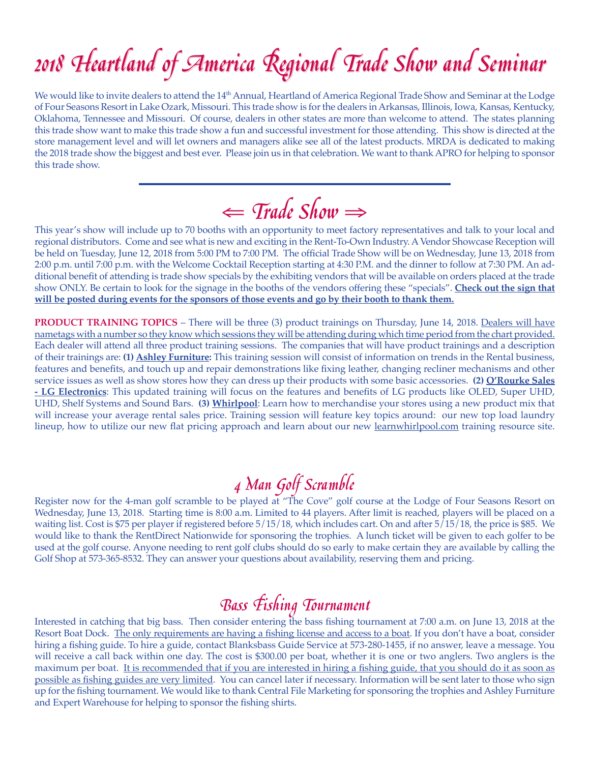# 2018 Heartland of America Regional Trade Show and Seminar 2018 Heartland of America Regional Trade Show and Seminar

We would like to invite dealers to attend the 14<sup>th</sup> Annual, Heartland of America Regional Trade Show and Seminar at the Lodge of Four Seasons Resort in Lake Ozark, Missouri. This trade show is for the dealers in Arkansas, Illinois, Iowa, Kansas, Kentucky, Oklahoma, Tennessee and Missouri. Of course, dealers in other states are more than welcome to attend. The states planning this trade show want to make this trade show a fun and successful investment for those attending. This show is directed at the store management level and will let owners and managers alike see all of the latest products. MRDA is dedicated to making the 2018 trade show the biggest and best ever. Please join us in that celebration. We want to thank APRO for helping to sponsor this trade show.

⇐ Trade Show<sup>⇒</sup>

This year's show will include up to 70 booths with an opportunity to meet factory representatives and talk to your local and regional distributors. Come and see what is new and exciting in the Rent-To-Own Industry. A Vendor Showcase Reception will be held on Tuesday, June 12, 2018 from 5:00 PM to 7:00 PM. The official Trade Show will be on Wednesday, June 13, 2018 from 2:00 p.m. until 7:00 p.m. with the Welcome Cocktail Reception starting at 4:30 P.M. and the dinner to follow at 7:30 PM. An additional benefit of attending is trade show specials by the exhibiting vendors that will be available on orders placed at the trade show ONLY. Be certain to look for the signage in the booths of the vendors offering these "specials". **Check out the sign that will be posted during events for the sponsors of those events and go by their booth to thank them.**

**PRODUCT TRAINING TOPICS** – There will be three (3) product trainings on Thursday, June 14, 2018. Dealers will have nametags with a number so they know which sessions they will be attending during which time period from the chart provided. Each dealer will attend all three product training sessions. The companies that will have product trainings and a description of their trainings are: **(1) Ashley Furniture:** This training session will consist of information on trends in the Rental business, features and benefits, and touch up and repair demonstrations like fixing leather, changing recliner mechanisms and other service issues as well as show stores how they can dress up their products with some basic accessories. **(2) O'Rourke Sales - LG Electronics**: This updated training will focus on the features and benefits of LG products like OLED, Super UHD, UHD, Shelf Systems and Sound Bars. **(3) Whirlpool**: Learn how to merchandise your stores using a new product mix that will increase your average rental sales price. Training session will feature key topics around: our new top load laundry lineup, how to utilize our new flat pricing approach and learn about our new learnwhirlpool.com training resource site.

**4** 2000 SCR MOVE COLOGIVE 10 MAN GRAMM THE REGISTER THE REGISTER THE REGISTER THE REGISTER THAN REGISTER THE REGISTER ON REGISTER THE REGISTER ON REGISTER THE REGISTER ON REGISTER THE REGISTER OF THE REGISTER ON REGISTER Wednesday, June 13, 2018. Starting time is 8:00 a.m. Limited to 44 players. After limit is reached, players will be placed on a waiting list. Cost is \$75 per player if registered before 5/15/18, which includes cart. On and after 5/15/18, the price is \$85. We would like to thank the RentDirect Nationwide for sponsoring the trophies. A lunch ticket will be given to each golfer to be used at the golf course. Anyone needing to rent golf clubs should do so early to make certain they are available by calling the Golf Shop at 573-365-8532. They can answer your questions about availability, reserving them and pricing.

**Bass Fishing Tournament**<br>Interested in catching that big bass. Then consider entering the bass fishing tournament at 7:00 a.m. on June 13, 2018 at the Resort Boat Dock. The only requirements are having a fishing license and access to a boat. If you don't have a boat, consider hiring a fishing guide. To hire a guide, contact Blanksbass Guide Service at 573-280-1455, if no answer, leave a message. You will receive a call back within one day. The cost is \$300.00 per boat, whether it is one or two anglers. Two anglers is the maximum per boat. It is recommended that if you are interested in hiring a fishing guide, that you should do it as soon as possible as fishing guides are very limited. You can cancel later if necessary. Information will be sent later to those who sign up for the fishing tournament. We would like to thank Central File Marketing for sponsoring the trophies and Ashley Furniture and Expert Warehouse for helping to sponsor the fishing shirts.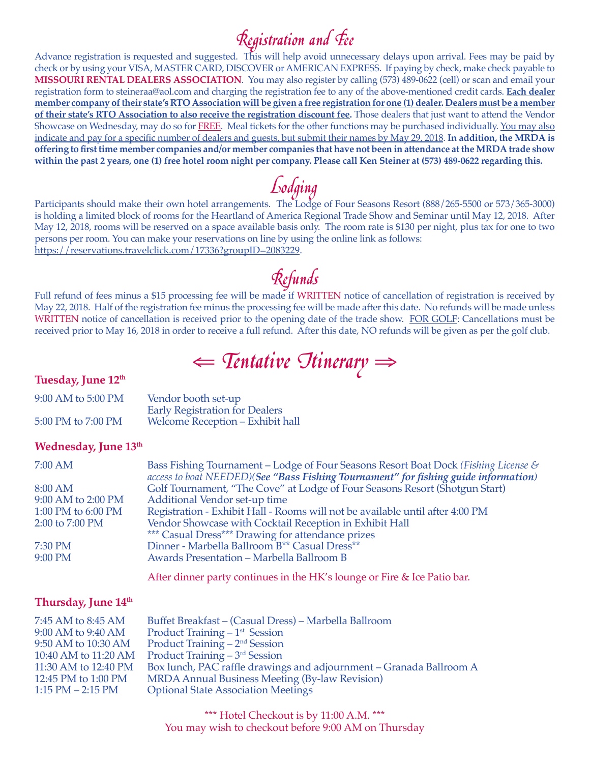$\mathcal{R}$ egistration and  $\mathcal{F}$ ee<br>Advance registration is requested and suggested. This will help avoid unnecessary delays upon arrival. Fees may be paid by check or by using your VISA, MASTER CARD, DISCOVER or AMERICAN EXPRESS. If paying by check, make check payable to **MISSOURI RENTAL DEALERS ASSOCIATION**. You may also register by calling (573) 489-0622 (cell) or scan and email your registration form to steineraa@aol.com and charging the registration fee to any of the above-mentioned credit cards. **Each dealer member company of their state's RTO Association will be given a free registration for one (1) dealer. Dealers must be a member of their state's RTO Association to also receive the registration discount fee.** Those dealers that just want to attend the Vendor Showcase on Wednesday, may do so for FREE. Meal tickets for the other functions may be purchased individually. You may also indicate and pay for a specific number of dealers and guests, but submit their names by May 29, 2018. **In addition, the MRDA is offering to first time member companies and/or member companies that have not been in attendance at the MRDA trade show within the past 2 years, one (1) free hotel room night per company. Please call Ken Steiner at (573) 489-0622 regarding this.**

Lodging<br>Participants should make their own hotel arrangements. The Lodge of Four Seasons Resort (888/265-5500 or 573/365-3000) is holding a limited block of rooms for the Heartland of America Regional Trade Show and Seminar until May 12, 2018. After May 12, 2018, rooms will be reserved on a space available basis only. The room rate is \$130 per night, plus tax for one to two persons per room. You can make your reservations on line by using the online link as follows: https://reservations.travelclick.com/17336?groupID=2083229.

Full refund of fees minus a \$15 processing fee will be made if WRITTEN notice of cancellation of registration is received by May 22, 2018. Half of the registration fee minus the processing fee will be made after this date. No refunds will be made unless WRITTEN notice of cancellation is received prior to the opening date of the trade show. FOR GOLF: Cancellations must be received prior to May 16, 2018 in order to receive a full refund. After this date, NO refunds will be given as per the golf club.

⇐ Tentative Itinerary<sup>⇒</sup>

### **Tuesday, June 12th**

| 9:00 AM to 5:00 PM | Vendor booth set-up                   |
|--------------------|---------------------------------------|
|                    | <b>Early Registration for Dealers</b> |
| 5:00 PM to 7:00 PM | Welcome Reception - Exhibit hall      |

### **Wednesday, June 13th**

| 7:00 AM            | Bass Fishing Tournament - Lodge of Four Seasons Resort Boat Dock (Fishing License &<br>access to boat NEEDED)(See "Bass Fishing Tournament" for fishing guide information) |
|--------------------|----------------------------------------------------------------------------------------------------------------------------------------------------------------------------|
| 8:00 AM            | Golf Tournament, "The Cove" at Lodge of Four Seasons Resort (Shotgun Start)                                                                                                |
| 9:00 AM to 2:00 PM | Additional Vendor set-up time                                                                                                                                              |
| 1:00 PM to 6:00 PM | Registration - Exhibit Hall - Rooms will not be available until after 4:00 PM                                                                                              |
| 2:00 to 7:00 PM    | Vendor Showcase with Cocktail Reception in Exhibit Hall                                                                                                                    |
|                    | *** Casual Dress*** Drawing for attendance prizes                                                                                                                          |
| 7:30 PM            | Dinner - Marbella Ballroom B <sup>**</sup> Casual Dress <sup>**</sup>                                                                                                      |
| 9:00 PM            | Awards Presentation - Marbella Ballroom B                                                                                                                                  |
|                    |                                                                                                                                                                            |

After dinner party continues in the HK's lounge or Fire & Ice Patio bar.

### **Thursday, June 14th**

| 7:45 AM to 8:45 AM    | Buffet Breakfast – (Casual Dress) – Marbella Ballroom               |
|-----------------------|---------------------------------------------------------------------|
| 9:00 AM to 9:40 AM    | Product Training $-1st$ Session                                     |
| 9:50 AM to 10:30 AM   | Product Training $-2nd$ Session                                     |
| 10:40 AM to 11:20 AM  | Product Training $-3rd$ Session                                     |
| 11:30 AM to 12:40 PM  | Box lunch, PAC raffle drawings and adjournment - Granada Ballroom A |
| 12:45 PM to 1:00 PM   | <b>MRDA Annual Business Meeting (By-law Revision)</b>               |
| $1:15$ PM $- 2:15$ PM | <b>Optional State Association Meetings</b>                          |

\*\*\* Hotel Checkout is by 11:00 A.M. \*\*\* You may wish to checkout before 9:00 AM on Thursday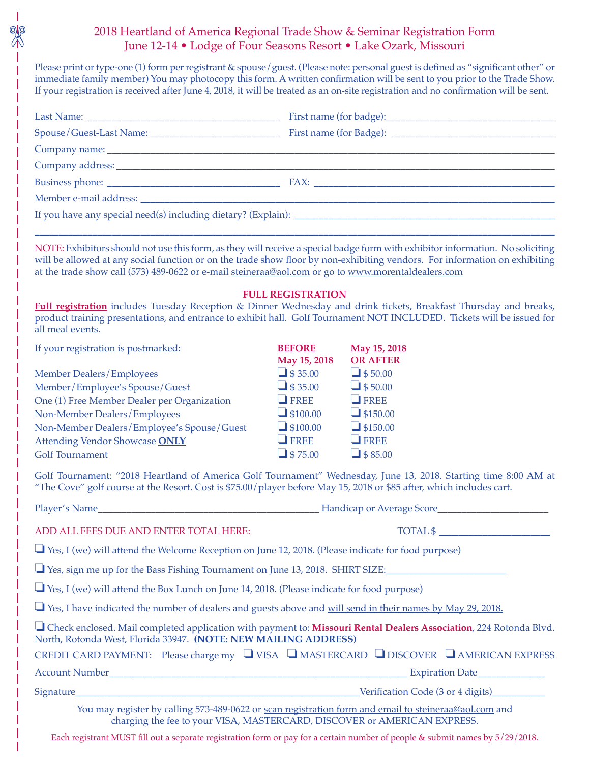## 2018 Heartland of America Regional Trade Show & Seminar Registration Form June 12-14 • Lodge of Four Seasons Resort • Lake Ozark, Missouri

Please print or type-one (1) form per registrant & spouse/guest. (Please note: personal guest is defined as "significant other" or immediate family member) You may photocopy this form. A written confirmation will be sent to you prior to the Trade Show. If your registration is received after June 4, 2018, it will be treated as an on-site registration and no confirmation will be sent.

|                                                                                                                                                                                                                                | FAX: The contract of the contract of the contract of the contract of the contract of the contract of the contract of the contract of the contract of the contract of the contract of the contract of the contract of the contr |  |  |  |
|--------------------------------------------------------------------------------------------------------------------------------------------------------------------------------------------------------------------------------|--------------------------------------------------------------------------------------------------------------------------------------------------------------------------------------------------------------------------------|--|--|--|
| Member e-mail address: National American Secretary and Secretary and Secretary and Secretary and Secretary and Secretary and Secretary and Secretary and Secretary and Secretary and Secretary and Secretary and Secretary and |                                                                                                                                                                                                                                |  |  |  |
|                                                                                                                                                                                                                                |                                                                                                                                                                                                                                |  |  |  |
|                                                                                                                                                                                                                                |                                                                                                                                                                                                                                |  |  |  |

NOTE: Exhibitors should not use this form, as they will receive a special badge form with exhibitor information. No soliciting will be allowed at any social function or on the trade show floor by non-exhibiting vendors. For information on exhibiting at the trade show call (573) 489-0622 or e-mail steineraa@aol.com or go to www.morentaldealers.com

### **FULL REGISTRATION**

**Full registration** includes Tuesday Reception & Dinner Wednesday and drink tickets, Breakfast Thursday and breaks, product training presentations, and entrance to exhibit hall. Golf Tournament NOT INCLUDED. Tickets will be issued for all meal events.

| If your registration is postmarked:         | <b>BEFORE</b>   | May 15, 2018        |
|---------------------------------------------|-----------------|---------------------|
|                                             | May 15, 2018    | <b>OR AFTER</b>     |
| Member Dealers/Employees                    | $\Box$ \$35.00  | $\Box$ \$50.00      |
| Member/Employee's Spouse/Guest              | $\Box$ \$35.00  | $\Box$ \$50.00      |
| One (1) Free Member Dealer per Organization | $\Box$ FREE     | $\blacksquare$ FREE |
| Non-Member Dealers/Employees                | $\Box$ \$100.00 | $\Box$ \$150.00     |
| Non-Member Dealers/Employee's Spouse/Guest  | $\Box$ \$100.00 | $\Box$ \$150.00     |
| Attending Vendor Showcase ONLY              | $\Box$ FREE     | $\Box$ FREE         |
| <b>Golf Tournament</b>                      | $\Box$ \$75.00  | $\Box$ \$85.00      |

Golf Tournament: "2018 Heartland of America Golf Tournament" Wednesday, June 13, 2018. Starting time 8:00 AM at "The Cove" golf course at the Resort. Cost is \$75.00/player before May 15, 2018 or \$85 after, which includes cart.

| ADD ALL FEES DUE AND ENTER TOTAL HERE:                                                                                                                                                  |  | $\overline{\text{TOTAL } }$ \$ |  |  |
|-----------------------------------------------------------------------------------------------------------------------------------------------------------------------------------------|--|--------------------------------|--|--|
| $\Box$ Yes, I (we) will attend the Welcome Reception on June 12, 2018. (Please indicate for food purpose)                                                                               |  |                                |  |  |
| $\Box$ Yes, sign me up for the Bass Fishing Tournament on June 13, 2018. SHIRT SIZE:                                                                                                    |  |                                |  |  |
| $\Box$ Yes, I (we) will attend the Box Lunch on June 14, 2018. (Please indicate for food purpose)                                                                                       |  |                                |  |  |
| Yes, I have indicated the number of dealers and guests above and will send in their names by May 29, 2018.                                                                              |  |                                |  |  |
| □ Check enclosed. Mail completed application with payment to: Missouri Rental Dealers Association, 224 Rotonda Blvd.<br>North, Rotonda West, Florida 33947. (NOTE: NEW MAILING ADDRESS) |  |                                |  |  |
| CREDIT CARD PAYMENT: Please charge my $\Box$ VISA $\Box$ MASTERCARD $\Box$ DISCOVER $\Box$ AMERICAN EXPRESS                                                                             |  |                                |  |  |
|                                                                                                                                                                                         |  |                                |  |  |
|                                                                                                                                                                                         |  |                                |  |  |
| You may register by calling 573-489-0622 or scan registration form and email to steineraa@aol.com and<br>charging the fee to your VISA, MASTERCARD, DISCOVER or AMERICAN EXPRESS.       |  |                                |  |  |

Each registrant MUST fill out a separate registration form or pay for a certain number of people & submit names by 5/29/2018.